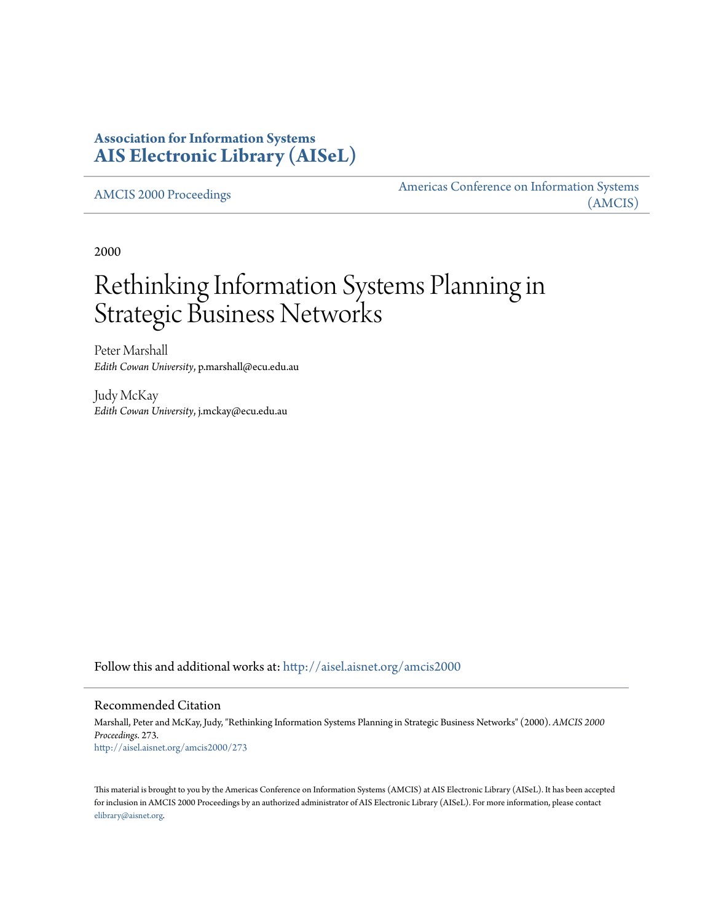# **Association for Information Systems [AIS Electronic Library \(AISeL\)](http://aisel.aisnet.org?utm_source=aisel.aisnet.org%2Famcis2000%2F273&utm_medium=PDF&utm_campaign=PDFCoverPages)**

[AMCIS 2000 Proceedings](http://aisel.aisnet.org/amcis2000?utm_source=aisel.aisnet.org%2Famcis2000%2F273&utm_medium=PDF&utm_campaign=PDFCoverPages)

[Americas Conference on Information Systems](http://aisel.aisnet.org/amcis?utm_source=aisel.aisnet.org%2Famcis2000%2F273&utm_medium=PDF&utm_campaign=PDFCoverPages) [\(AMCIS\)](http://aisel.aisnet.org/amcis?utm_source=aisel.aisnet.org%2Famcis2000%2F273&utm_medium=PDF&utm_campaign=PDFCoverPages)

2000

# Rethinking Information Systems Planning in Strategic Business Networks

Peter Marshall *Edith Cowan University*, p.marshall@ecu.edu.au

Judy McKay *Edith Cowan University*, j.mckay@ecu.edu.au

Follow this and additional works at: [http://aisel.aisnet.org/amcis2000](http://aisel.aisnet.org/amcis2000?utm_source=aisel.aisnet.org%2Famcis2000%2F273&utm_medium=PDF&utm_campaign=PDFCoverPages)

#### Recommended Citation

Marshall, Peter and McKay, Judy, "Rethinking Information Systems Planning in Strategic Business Networks" (2000). *AMCIS 2000 Proceedings*. 273. [http://aisel.aisnet.org/amcis2000/273](http://aisel.aisnet.org/amcis2000/273?utm_source=aisel.aisnet.org%2Famcis2000%2F273&utm_medium=PDF&utm_campaign=PDFCoverPages)

This material is brought to you by the Americas Conference on Information Systems (AMCIS) at AIS Electronic Library (AISeL). It has been accepted for inclusion in AMCIS 2000 Proceedings by an authorized administrator of AIS Electronic Library (AISeL). For more information, please contact [elibrary@aisnet.org.](mailto:elibrary@aisnet.org%3E)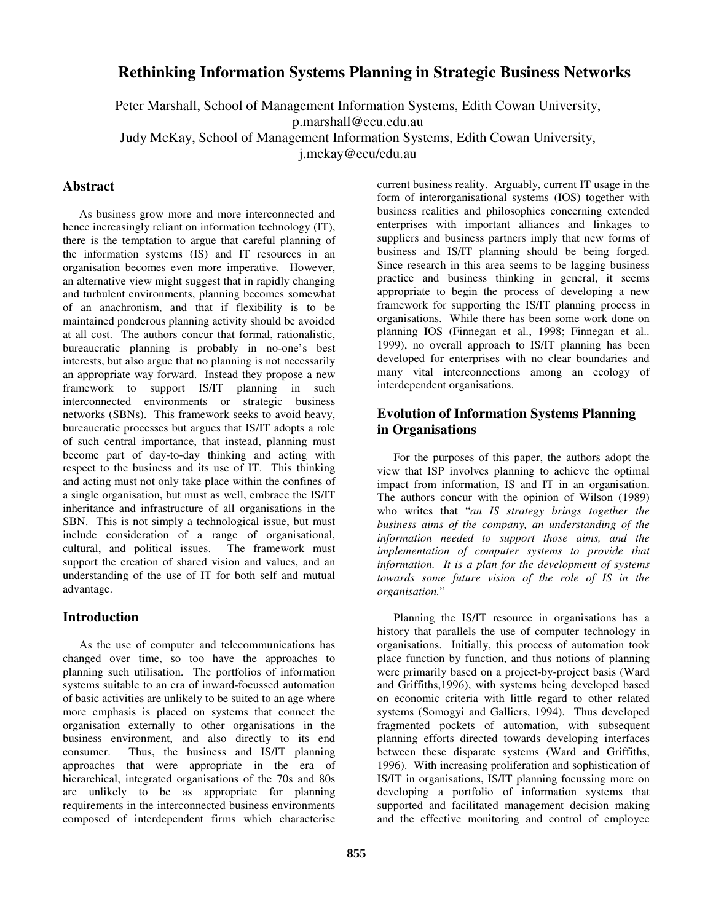## **Rethinking Information Systems Planning in Strategic Business Networks**

Peter Marshall, School of Management Information Systems, Edith Cowan University,

p.marshall@ecu.edu.au

Judy McKay, School of Management Information Systems, Edith Cowan University,

j.mckay@ecu/edu.au

#### **Abstract**

As business grow more and more interconnected and hence increasingly reliant on information technology (IT), there is the temptation to argue that careful planning of the information systems (IS) and IT resources in an organisation becomes even more imperative. However, an alternative view might suggest that in rapidly changing and turbulent environments, planning becomes somewhat of an anachronism, and that if flexibility is to be maintained ponderous planning activity should be avoided at all cost. The authors concur that formal, rationalistic, bureaucratic planning is probably in no-one's best interests, but also argue that no planning is not necessarily an appropriate way forward. Instead they propose a new framework to support IS/IT planning in such interconnected environments or strategic business networks (SBNs). This framework seeks to avoid heavy, bureaucratic processes but argues that IS/IT adopts a role of such central importance, that instead, planning must become part of day-to-day thinking and acting with respect to the business and its use of IT. This thinking and acting must not only take place within the confines of a single organisation, but must as well, embrace the IS/IT inheritance and infrastructure of all organisations in the SBN. This is not simply a technological issue, but must include consideration of a range of organisational, cultural, and political issues. The framework must support the creation of shared vision and values, and an understanding of the use of IT for both self and mutual advantage.

#### **Introduction**

As the use of computer and telecommunications has changed over time, so too have the approaches to planning such utilisation. The portfolios of information systems suitable to an era of inward-focussed automation of basic activities are unlikely to be suited to an age where more emphasis is placed on systems that connect the organisation externally to other organisations in the business environment, and also directly to its end consumer. Thus, the business and IS/IT planning approaches that were appropriate in the era of hierarchical, integrated organisations of the 70s and 80s are unlikely to be as appropriate for planning requirements in the interconnected business environments composed of interdependent firms which characterise

current business reality. Arguably, current IT usage in the form of interorganisational systems (IOS) together with business realities and philosophies concerning extended enterprises with important alliances and linkages to suppliers and business partners imply that new forms of business and IS/IT planning should be being forged. Since research in this area seems to be lagging business practice and business thinking in general, it seems appropriate to begin the process of developing a new framework for supporting the IS/IT planning process in organisations. While there has been some work done on planning IOS (Finnegan et al., 1998; Finnegan et al.. 1999), no overall approach to IS/IT planning has been developed for enterprises with no clear boundaries and many vital interconnections among an ecology of interdependent organisations.

### **Evolution of Information Systems Planning in Organisations**

For the purposes of this paper, the authors adopt the view that ISP involves planning to achieve the optimal impact from information, IS and IT in an organisation. The authors concur with the opinion of Wilson (1989) who writes that "*an IS strategy brings together the business aims of the company, an understanding of the information needed to support those aims, and the implementation of computer systems to provide that information. It is a plan for the development of systems towards some future vision of the role of IS in the organisation.*"

Planning the IS/IT resource in organisations has a history that parallels the use of computer technology in organisations. Initially, this process of automation took place function by function, and thus notions of planning were primarily based on a project-by-project basis (Ward and Griffiths,1996), with systems being developed based on economic criteria with little regard to other related systems (Somogyi and Galliers, 1994). Thus developed fragmented pockets of automation, with subsequent planning efforts directed towards developing interfaces between these disparate systems (Ward and Griffiths, 1996). With increasing proliferation and sophistication of IS/IT in organisations, IS/IT planning focussing more on developing a portfolio of information systems that supported and facilitated management decision making and the effective monitoring and control of employee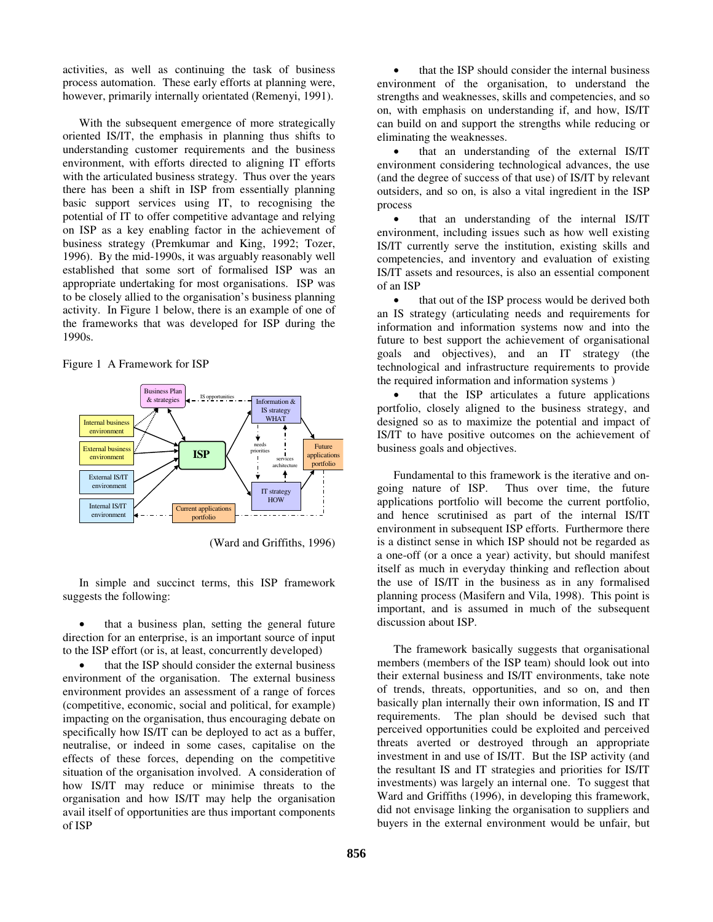activities, as well as continuing the task of business process automation. These early efforts at planning were, however, primarily internally orientated (Remenyi, 1991).

With the subsequent emergence of more strategically oriented IS/IT, the emphasis in planning thus shifts to understanding customer requirements and the business environment, with efforts directed to aligning IT efforts with the articulated business strategy. Thus over the years there has been a shift in ISP from essentially planning basic support services using IT, to recognising the potential of IT to offer competitive advantage and relying on ISP as a key enabling factor in the achievement of business strategy (Premkumar and King, 1992; Tozer, 1996). By the mid-1990s, it was arguably reasonably well established that some sort of formalised ISP was an appropriate undertaking for most organisations. ISP was to be closely allied to the organisation's business planning activity. In Figure 1 below, there is an example of one of the frameworks that was developed for ISP during the 1990s.

Figure 1 A Framework for ISP



(Ward and Griffiths, 1996)

In simple and succinct terms, this ISP framework suggests the following:

that a business plan, setting the general future direction for an enterprise, is an important source of input to the ISP effort (or is, at least, concurrently developed)

that the ISP should consider the external business environment of the organisation. The external business environment provides an assessment of a range of forces (competitive, economic, social and political, for example) impacting on the organisation, thus encouraging debate on specifically how IS/IT can be deployed to act as a buffer, neutralise, or indeed in some cases, capitalise on the effects of these forces, depending on the competitive situation of the organisation involved. A consideration of how IS/IT may reduce or minimise threats to the organisation and how IS/IT may help the organisation avail itself of opportunities are thus important components of ISP

that the ISP should consider the internal business environment of the organisation, to understand the strengths and weaknesses, skills and competencies, and so on, with emphasis on understanding if, and how, IS/IT can build on and support the strengths while reducing or eliminating the weaknesses.

that an understanding of the external IS/IT environment considering technological advances, the use (and the degree of success of that use) of IS/IT by relevant outsiders, and so on, is also a vital ingredient in the ISP process

that an understanding of the internal IS/IT environment, including issues such as how well existing IS/IT currently serve the institution, existing skills and competencies, and inventory and evaluation of existing IS/IT assets and resources, is also an essential component of an ISP

that out of the ISP process would be derived both an IS strategy (articulating needs and requirements for information and information systems now and into the future to best support the achievement of organisational goals and objectives), and an IT strategy (the technological and infrastructure requirements to provide the required information and information systems )

that the ISP articulates a future applications portfolio, closely aligned to the business strategy, and designed so as to maximize the potential and impact of IS/IT to have positive outcomes on the achievement of business goals and objectives.

Fundamental to this framework is the iterative and ongoing nature of ISP. Thus over time, the future applications portfolio will become the current portfolio, and hence scrutinised as part of the internal IS/IT environment in subsequent ISP efforts. Furthermore there is a distinct sense in which ISP should not be regarded as a one-off (or a once a year) activity, but should manifest itself as much in everyday thinking and reflection about the use of IS/IT in the business as in any formalised planning process (Masifern and Vila, 1998). This point is important, and is assumed in much of the subsequent discussion about ISP.

The framework basically suggests that organisational members (members of the ISP team) should look out into their external business and IS/IT environments, take note of trends, threats, opportunities, and so on, and then basically plan internally their own information, IS and IT requirements. The plan should be devised such that perceived opportunities could be exploited and perceived threats averted or destroyed through an appropriate investment in and use of IS/IT. But the ISP activity (and the resultant IS and IT strategies and priorities for IS/IT investments) was largely an internal one. To suggest that Ward and Griffiths (1996), in developing this framework, did not envisage linking the organisation to suppliers and buyers in the external environment would be unfair, but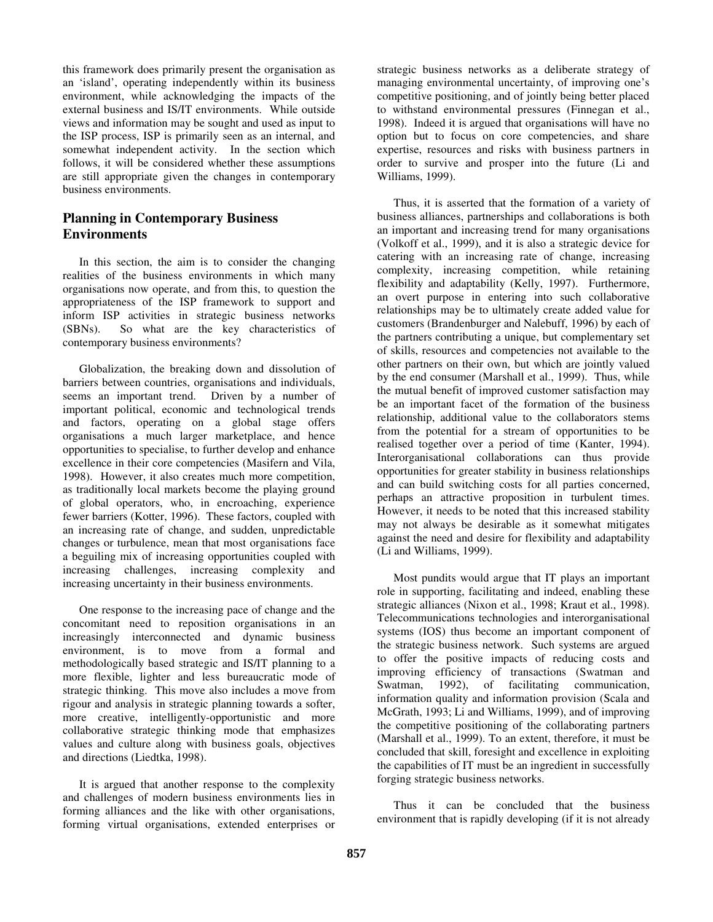this framework does primarily present the organisation as an 'island', operating independently within its business environment, while acknowledging the impacts of the external business and IS/IT environments. While outside views and information may be sought and used as input to the ISP process, ISP is primarily seen as an internal, and somewhat independent activity. In the section which follows, it will be considered whether these assumptions are still appropriate given the changes in contemporary business environments.

## **Planning in Contemporary Business Environments**

In this section, the aim is to consider the changing realities of the business environments in which many organisations now operate, and from this, to question the appropriateness of the ISP framework to support and inform ISP activities in strategic business networks (SBNs). So what are the key characteristics of contemporary business environments?

Globalization, the breaking down and dissolution of barriers between countries, organisations and individuals, seems an important trend. Driven by a number of important political, economic and technological trends and factors, operating on a global stage offers organisations a much larger marketplace, and hence opportunities to specialise, to further develop and enhance excellence in their core competencies (Masifern and Vila, 1998). However, it also creates much more competition, as traditionally local markets become the playing ground of global operators, who, in encroaching, experience fewer barriers (Kotter, 1996). These factors, coupled with an increasing rate of change, and sudden, unpredictable changes or turbulence, mean that most organisations face a beguiling mix of increasing opportunities coupled with increasing challenges, increasing complexity and increasing uncertainty in their business environments.

One response to the increasing pace of change and the concomitant need to reposition organisations in an increasingly interconnected and dynamic business environment, is to move from a formal and methodologically based strategic and IS/IT planning to a more flexible, lighter and less bureaucratic mode of strategic thinking. This move also includes a move from rigour and analysis in strategic planning towards a softer, more creative, intelligently-opportunistic and more collaborative strategic thinking mode that emphasizes values and culture along with business goals, objectives and directions (Liedtka, 1998).

It is argued that another response to the complexity and challenges of modern business environments lies in forming alliances and the like with other organisations, forming virtual organisations, extended enterprises or

strategic business networks as a deliberate strategy of managing environmental uncertainty, of improving one's competitive positioning, and of jointly being better placed to withstand environmental pressures (Finnegan et al., 1998). Indeed it is argued that organisations will have no option but to focus on core competencies, and share expertise, resources and risks with business partners in order to survive and prosper into the future (Li and Williams, 1999).

Thus, it is asserted that the formation of a variety of business alliances, partnerships and collaborations is both an important and increasing trend for many organisations (Volkoff et al., 1999), and it is also a strategic device for catering with an increasing rate of change, increasing complexity, increasing competition, while retaining flexibility and adaptability (Kelly, 1997). Furthermore, an overt purpose in entering into such collaborative relationships may be to ultimately create added value for customers (Brandenburger and Nalebuff, 1996) by each of the partners contributing a unique, but complementary set of skills, resources and competencies not available to the other partners on their own, but which are jointly valued by the end consumer (Marshall et al., 1999). Thus, while the mutual benefit of improved customer satisfaction may be an important facet of the formation of the business relationship, additional value to the collaborators stems from the potential for a stream of opportunities to be realised together over a period of time (Kanter, 1994). Interorganisational collaborations can thus provide opportunities for greater stability in business relationships and can build switching costs for all parties concerned, perhaps an attractive proposition in turbulent times. However, it needs to be noted that this increased stability may not always be desirable as it somewhat mitigates against the need and desire for flexibility and adaptability (Li and Williams, 1999).

Most pundits would argue that IT plays an important role in supporting, facilitating and indeed, enabling these strategic alliances (Nixon et al., 1998; Kraut et al., 1998). Telecommunications technologies and interorganisational systems (IOS) thus become an important component of the strategic business network. Such systems are argued to offer the positive impacts of reducing costs and improving efficiency of transactions (Swatman and Swatman, 1992), of facilitating communication, information quality and information provision (Scala and McGrath, 1993; Li and Williams, 1999), and of improving the competitive positioning of the collaborating partners (Marshall et al., 1999). To an extent, therefore, it must be concluded that skill, foresight and excellence in exploiting the capabilities of IT must be an ingredient in successfully forging strategic business networks.

Thus it can be concluded that the business environment that is rapidly developing (if it is not already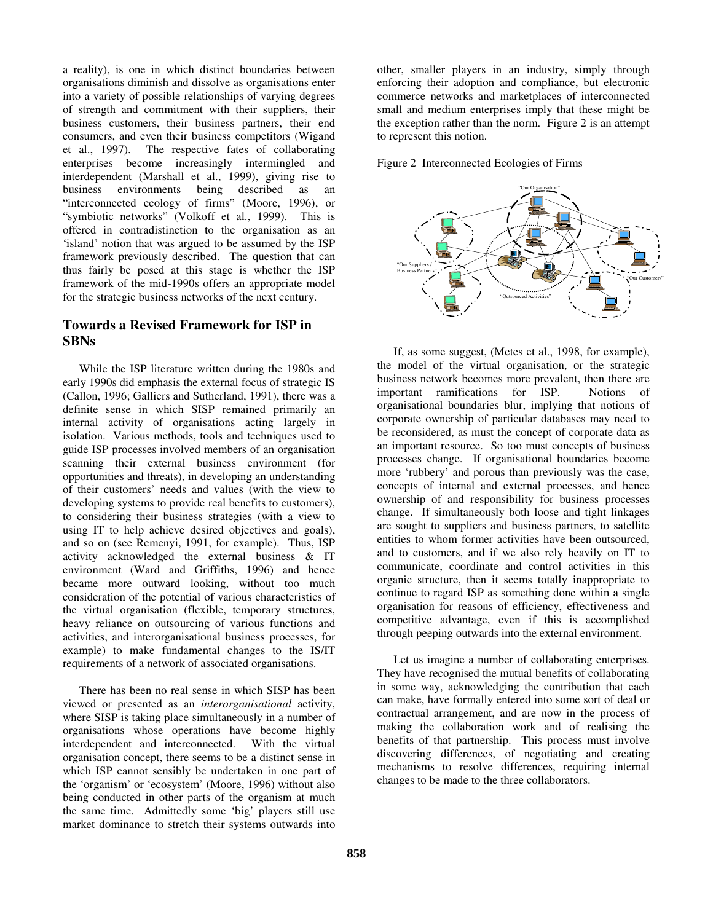a reality), is one in which distinct boundaries between organisations diminish and dissolve as organisations enter into a variety of possible relationships of varying degrees of strength and commitment with their suppliers, their business customers, their business partners, their end consumers, and even their business competitors (Wigand et al., 1997). The respective fates of collaborating enterprises become increasingly intermingled and interdependent (Marshall et al., 1999), giving rise to business environments being described as an "interconnected ecology of firms" (Moore, 1996), or "symbiotic networks" (Volkoff et al., 1999). This is offered in contradistinction to the organisation as an 'island' notion that was argued to be assumed by the ISP framework previously described. The question that can thus fairly be posed at this stage is whether the ISP framework of the mid-1990s offers an appropriate model for the strategic business networks of the next century.

#### **Towards a Revised Framework for ISP in SBNs**

While the ISP literature written during the 1980s and early 1990s did emphasis the external focus of strategic IS (Callon, 1996; Galliers and Sutherland, 1991), there was a definite sense in which SISP remained primarily an internal activity of organisations acting largely in isolation. Various methods, tools and techniques used to guide ISP processes involved members of an organisation scanning their external business environment (for opportunities and threats), in developing an understanding of their customers' needs and values (with the view to developing systems to provide real benefits to customers), to considering their business strategies (with a view to using IT to help achieve desired objectives and goals), and so on (see Remenyi, 1991, for example). Thus, ISP activity acknowledged the external business & IT environment (Ward and Griffiths, 1996) and hence became more outward looking, without too much consideration of the potential of various characteristics of the virtual organisation (flexible, temporary structures, heavy reliance on outsourcing of various functions and activities, and interorganisational business processes, for example) to make fundamental changes to the IS/IT requirements of a network of associated organisations.

There has been no real sense in which SISP has been viewed or presented as an *interorganisational* activity, where SISP is taking place simultaneously in a number of organisations whose operations have become highly interdependent and interconnected. With the virtual organisation concept, there seems to be a distinct sense in which ISP cannot sensibly be undertaken in one part of the 'organism' or 'ecosystem' (Moore, 1996) without also being conducted in other parts of the organism at much the same time. Admittedly some 'big' players still use market dominance to stretch their systems outwards into other, smaller players in an industry, simply through enforcing their adoption and compliance, but electronic commerce networks and marketplaces of interconnected small and medium enterprises imply that these might be the exception rather than the norm. Figure 2 is an attempt to represent this notion.

Figure 2 Interconnected Ecologies of Firms



If, as some suggest, (Metes et al., 1998, for example), the model of the virtual organisation, or the strategic business network becomes more prevalent, then there are important ramifications for ISP. Notions of organisational boundaries blur, implying that notions of corporate ownership of particular databases may need to be reconsidered, as must the concept of corporate data as an important resource. So too must concepts of business processes change. If organisational boundaries become more 'rubbery' and porous than previously was the case, concepts of internal and external processes, and hence ownership of and responsibility for business processes change. If simultaneously both loose and tight linkages are sought to suppliers and business partners, to satellite entities to whom former activities have been outsourced, and to customers, and if we also rely heavily on IT to communicate, coordinate and control activities in this organic structure, then it seems totally inappropriate to continue to regard ISP as something done within a single organisation for reasons of efficiency, effectiveness and competitive advantage, even if this is accomplished through peeping outwards into the external environment.

Let us imagine a number of collaborating enterprises. They have recognised the mutual benefits of collaborating in some way, acknowledging the contribution that each can make, have formally entered into some sort of deal or contractual arrangement, and are now in the process of making the collaboration work and of realising the benefits of that partnership. This process must involve discovering differences, of negotiating and creating mechanisms to resolve differences, requiring internal changes to be made to the three collaborators.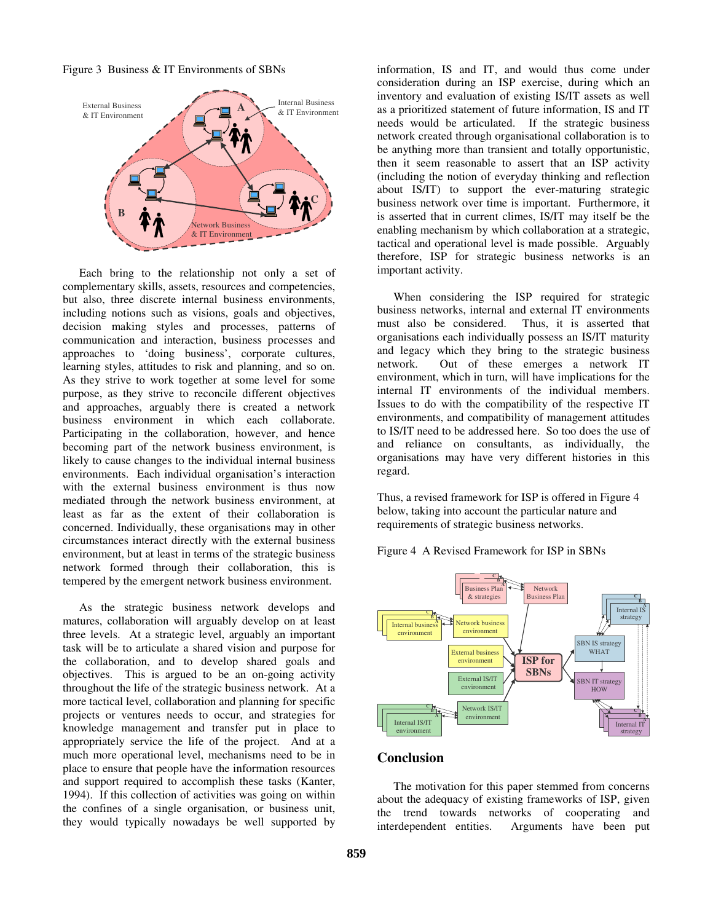



Each bring to the relationship not only a set of complementary skills, assets, resources and competencies, but also, three discrete internal business environments, including notions such as visions, goals and objectives, decision making styles and processes, patterns of communication and interaction, business processes and approaches to 'doing business', corporate cultures, learning styles, attitudes to risk and planning, and so on. As they strive to work together at some level for some purpose, as they strive to reconcile different objectives and approaches, arguably there is created a network business environment in which each collaborate. Participating in the collaboration, however, and hence becoming part of the network business environment, is likely to cause changes to the individual internal business environments. Each individual organisation's interaction with the external business environment is thus now mediated through the network business environment, at least as far as the extent of their collaboration is concerned. Individually, these organisations may in other circumstances interact directly with the external business environment, but at least in terms of the strategic business network formed through their collaboration, this is tempered by the emergent network business environment.

As the strategic business network develops and matures, collaboration will arguably develop on at least three levels. At a strategic level, arguably an important task will be to articulate a shared vision and purpose for the collaboration, and to develop shared goals and objectives. This is argued to be an on-going activity throughout the life of the strategic business network. At a more tactical level, collaboration and planning for specific projects or ventures needs to occur, and strategies for knowledge management and transfer put in place to appropriately service the life of the project. And at a much more operational level, mechanisms need to be in place to ensure that people have the information resources and support required to accomplish these tasks (Kanter, 1994). If this collection of activities was going on within the confines of a single organisation, or business unit, they would typically nowadays be well supported by

information, IS and IT, and would thus come under consideration during an ISP exercise, during which an inventory and evaluation of existing IS/IT assets as well as a prioritized statement of future information, IS and IT needs would be articulated. If the strategic business network created through organisational collaboration is to be anything more than transient and totally opportunistic, then it seem reasonable to assert that an ISP activity (including the notion of everyday thinking and reflection about IS/IT) to support the ever-maturing strategic business network over time is important. Furthermore, it is asserted that in current climes, IS/IT may itself be the enabling mechanism by which collaboration at a strategic, tactical and operational level is made possible. Arguably therefore, ISP for strategic business networks is an important activity.

When considering the ISP required for strategic business networks, internal and external IT environments must also be considered. Thus, it is asserted that organisations each individually possess an IS/IT maturity and legacy which they bring to the strategic business network. Out of these emerges a network IT environment, which in turn, will have implications for the internal IT environments of the individual members. Issues to do with the compatibility of the respective IT environments, and compatibility of management attitudes to IS/IT need to be addressed here. So too does the use of and reliance on consultants, as individually, the organisations may have very different histories in this regard.

Thus, a revised framework for ISP is offered in Figure 4 below, taking into account the particular nature and requirements of strategic business networks.

Figure 4 A Revised Framework for ISP in SBNs



#### **Conclusion**

The motivation for this paper stemmed from concerns about the adequacy of existing frameworks of ISP, given the trend towards networks of cooperating and interdependent entities. Arguments have been put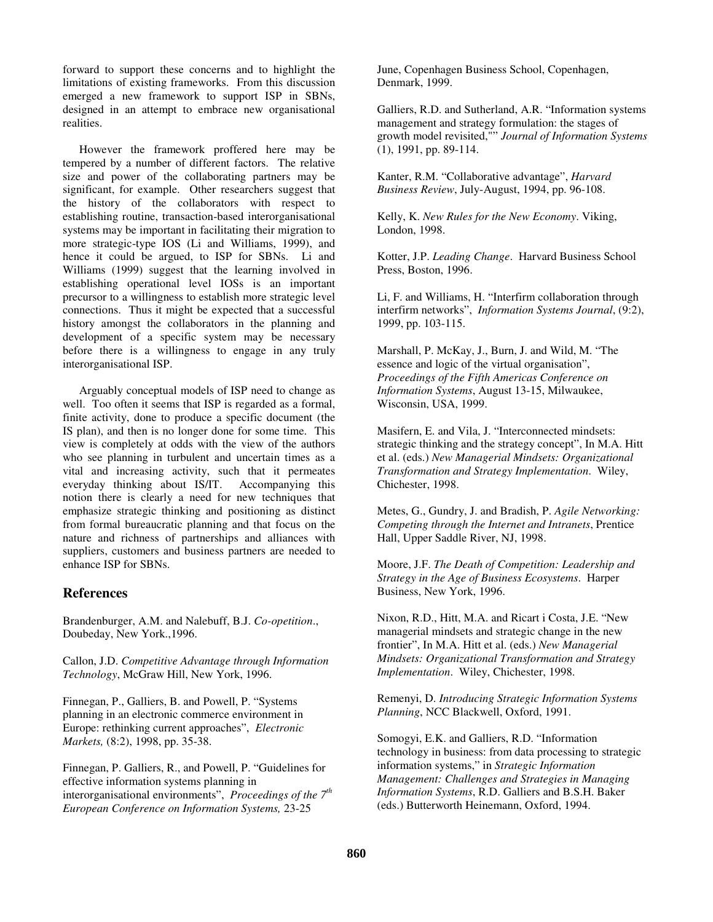forward to support these concerns and to highlight the limitations of existing frameworks. From this discussion emerged a new framework to support ISP in SBNs, designed in an attempt to embrace new organisational realities.

However the framework proffered here may be tempered by a number of different factors. The relative size and power of the collaborating partners may be significant, for example. Other researchers suggest that the history of the collaborators with respect to establishing routine, transaction-based interorganisational systems may be important in facilitating their migration to more strategic-type IOS (Li and Williams, 1999), and hence it could be argued, to ISP for SBNs. Li and Williams (1999) suggest that the learning involved in establishing operational level IOSs is an important precursor to a willingness to establish more strategic level connections. Thus it might be expected that a successful history amongst the collaborators in the planning and development of a specific system may be necessary before there is a willingness to engage in any truly interorganisational ISP.

Arguably conceptual models of ISP need to change as well. Too often it seems that ISP is regarded as a formal, finite activity, done to produce a specific document (the IS plan), and then is no longer done for some time. This view is completely at odds with the view of the authors who see planning in turbulent and uncertain times as a vital and increasing activity, such that it permeates everyday thinking about IS/IT. Accompanying this notion there is clearly a need for new techniques that emphasize strategic thinking and positioning as distinct from formal bureaucratic planning and that focus on the nature and richness of partnerships and alliances with suppliers, customers and business partners are needed to enhance ISP for SBNs.

#### **References**

Brandenburger, A.M. and Nalebuff, B.J. *Co-opetition*., Doubeday, New York.,1996.

Callon, J.D. *Competitive Advantage through Information Technology*, McGraw Hill, New York, 1996.

Finnegan, P., Galliers, B. and Powell, P. "Systems planning in an electronic commerce environment in Europe: rethinking current approaches", *Electronic Markets,* (8:2), 1998, pp. 35-38.

Finnegan, P. Galliers, R., and Powell, P. "Guidelines for effective information systems planning in interorganisational environments", *Proceedings of the 7th European Conference on Information Systems,* 23-25

June, Copenhagen Business School, Copenhagen, Denmark, 1999.

Galliers, R.D. and Sutherland, A.R. "Information systems management and strategy formulation: the stages of growth model revisited,"" *Journal of Information Systems* (1), 1991, pp. 89-114.

Kanter, R.M. "Collaborative advantage", *Harvard Business Review*, July-August, 1994, pp. 96-108.

Kelly, K. *New Rules for the New Economy*. Viking, London, 1998.

Kotter, J.P. *Leading Change*. Harvard Business School Press, Boston, 1996.

Li, F. and Williams, H. "Interfirm collaboration through interfirm networks", *Information Systems Journal*, (9:2), 1999, pp. 103-115.

Marshall, P. McKay, J., Burn, J. and Wild, M. "The essence and logic of the virtual organisation", *Proceedings of the Fifth Americas Conference on Information Systems*, August 13-15, Milwaukee, Wisconsin, USA, 1999.

Masifern, E. and Vila, J. "Interconnected mindsets: strategic thinking and the strategy concept", In M.A. Hitt et al. (eds.) *New Managerial Mindsets: Organizational Transformation and Strategy Implementation*. Wiley, Chichester, 1998.

Metes, G., Gundry, J. and Bradish, P. *Agile Networking: Competing through the Internet and Intranets*, Prentice Hall, Upper Saddle River, NJ, 1998.

Moore, J.F. *The Death of Competition: Leadership and Strategy in the Age of Business Ecosystems*. Harper Business, New York, 1996.

Nixon, R.D., Hitt, M.A. and Ricart i Costa, J.E. "New managerial mindsets and strategic change in the new frontier", In M.A. Hitt et al. (eds.) *New Managerial Mindsets: Organizational Transformation and Strategy Implementation*. Wiley, Chichester, 1998.

Remenyi, D. *Introducing Strategic Information Systems Planning*, NCC Blackwell, Oxford, 1991.

Somogyi, E.K. and Galliers, R.D. "Information technology in business: from data processing to strategic information systems," in *Strategic Information Management: Challenges and Strategies in Managing Information Systems*, R.D. Galliers and B.S.H. Baker (eds.) Butterworth Heinemann, Oxford, 1994.